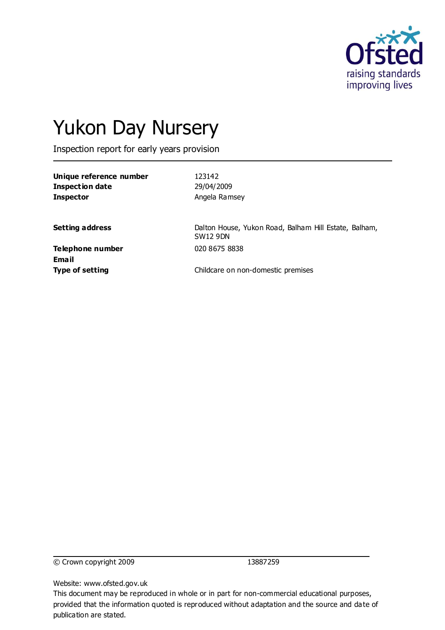

# Yukon Day Nursery

Inspection report for early years provision

**Unique reference number** 123142 **Inspection date** 29/04/2009 **Inspector Angela Ramsey** 

**Setting address** Dalton House, Yukon Road, Balham Hill Estate, Balham, SW12 9DN

**Telephone number** 020 8675 8838 **Email**

**Type of setting** Childcare on non-domestic premises

© Crown copyright 2009 13887259

Website: www.ofsted.gov.uk

This document may be reproduced in whole or in part for non-commercial educational purposes, provided that the information quoted is reproduced without adaptation and the source and date of publication are stated.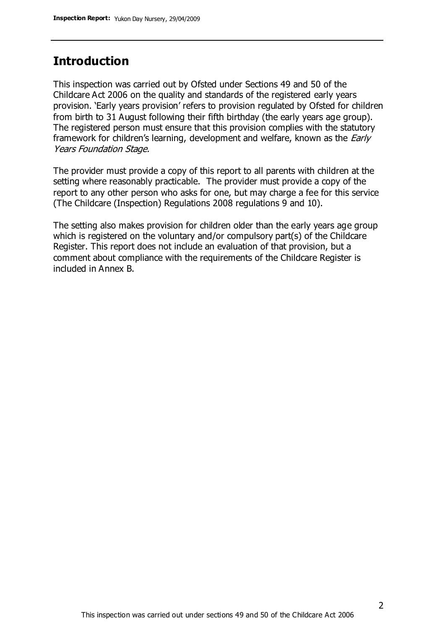# **Introduction**

This inspection was carried out by Ofsted under Sections 49 and 50 of the Childcare Act 2006 on the quality and standards of the registered early years provision. 'Early years provision' refers to provision regulated by Ofsted for children from birth to 31 August following their fifth birthday (the early years age group). The registered person must ensure that this provision complies with the statutory framework for children's learning, development and welfare, known as the *Early* Years Foundation Stage.

The provider must provide a copy of this report to all parents with children at the setting where reasonably practicable. The provider must provide a copy of the report to any other person who asks for one, but may charge a fee for this service (The Childcare (Inspection) Regulations 2008 regulations 9 and 10).

The setting also makes provision for children older than the early years age group which is registered on the voluntary and/or compulsory part(s) of the Childcare Register. This report does not include an evaluation of that provision, but a comment about compliance with the requirements of the Childcare Register is included in Annex B.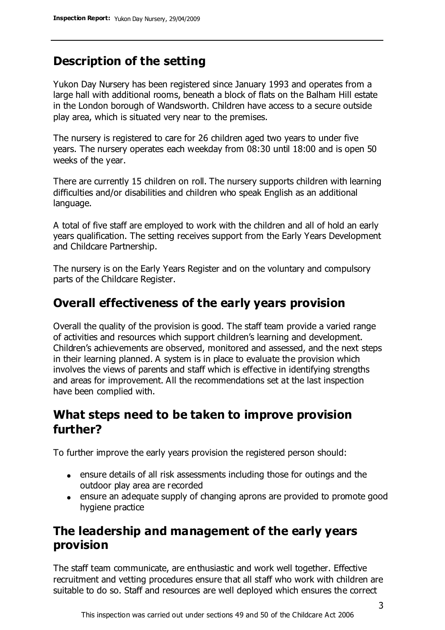# **Description of the setting**

Yukon Day Nursery has been registered since January 1993 and operates from a large hall with additional rooms, beneath a block of flats on the Balham Hill estate in the London borough of Wandsworth. Children have access to a secure outside play area, which is situated very near to the premises.

The nursery is registered to care for 26 children aged two years to under five years. The nursery operates each weekday from 08:30 until 18:00 and is open 50 weeks of the year.

There are currently 15 children on roll. The nursery supports children with learning difficulties and/or disabilities and children who speak English as an additional language.

A total of five staff are employed to work with the children and all of hold an early years qualification. The setting receives support from the Early Years Development and Childcare Partnership.

The nursery is on the Early Years Register and on the voluntary and compulsory parts of the Childcare Register.

# **Overall effectiveness of the early years provision**

Overall the quality of the provision is good. The staff team provide a varied range of activities and resources which support children's learning and development. Children's achievements are observed, monitored and assessed, and the next steps in their learning planned. A system is in place to evaluate the provision which involves the views of parents and staff which is effective in identifying strengths and areas for improvement. All the recommendations set at the last inspection have been complied with.

# **What steps need to be taken to improve provision further?**

To further improve the early years provision the registered person should:

- ensure details of all risk assessments including those for outings and the outdoor play area are recorded
- ensure an adequate supply of changing aprons are provided to promote good hygiene practice

# **The leadership and management of the early years provision**

The staff team communicate, are enthusiastic and work well together. Effective recruitment and vetting procedures ensure that all staff who work with children are suitable to do so. Staff and resources are well deployed which ensures the correct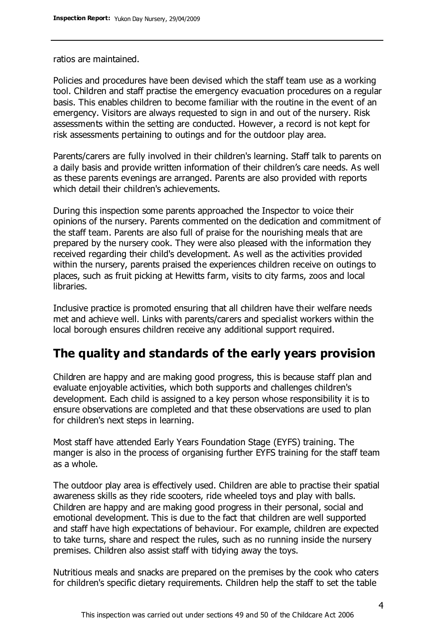ratios are maintained.

Policies and procedures have been devised which the staff team use as a working tool. Children and staff practise the emergency evacuation procedures on a regular basis. This enables children to become familiar with the routine in the event of an emergency. Visitors are always requested to sign in and out of the nursery. Risk assessments within the setting are conducted. However, a record is not kept for risk assessments pertaining to outings and for the outdoor play area.

Parents/carers are fully involved in their children's learning. Staff talk to parents on a daily basis and provide written information of their children's care needs. As well as these parents evenings are arranged. Parents are also provided with reports which detail their children's achievements.

During this inspection some parents approached the Inspector to voice their opinions of the nursery. Parents commented on the dedication and commitment of the staff team. Parents are also full of praise for the nourishing meals that are prepared by the nursery cook. They were also pleased with the information they received regarding their child's development. As well as the activities provided within the nursery, parents praised the experiences children receive on outings to places, such as fruit picking at Hewitts farm, visits to city farms, zoos and local libraries.

Inclusive practice is promoted ensuring that all children have their welfare needs met and achieve well. Links with parents/carers and specialist workers within the local borough ensures children receive any additional support required.

# **The quality and standards of the early years provision**

Children are happy and are making good progress, this is because staff plan and evaluate enjoyable activities, which both supports and challenges children's development. Each child is assigned to a key person whose responsibility it is to ensure observations are completed and that these observations are used to plan for children's next steps in learning.

Most staff have attended Early Years Foundation Stage (EYFS) training. The manger is also in the process of organising further EYFS training for the staff team as a whole.

The outdoor play area is effectively used. Children are able to practise their spatial awareness skills as they ride scooters, ride wheeled toys and play with balls. Children are happy and are making good progress in their personal, social and emotional development. This is due to the fact that children are well supported and staff have high expectations of behaviour. For example, children are expected to take turns, share and respect the rules, such as no running inside the nursery premises. Children also assist staff with tidying away the toys.

Nutritious meals and snacks are prepared on the premises by the cook who caters for children's specific dietary requirements. Children help the staff to set the table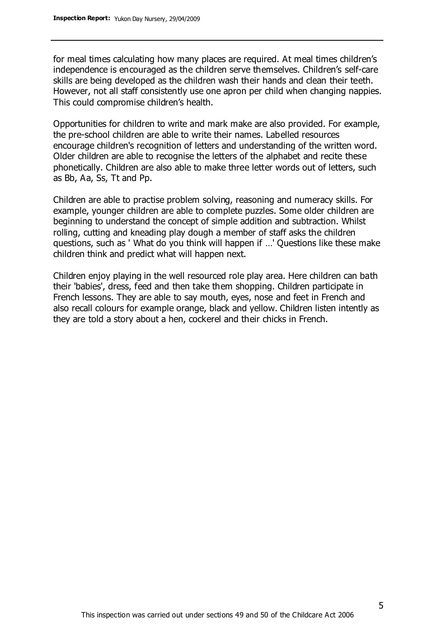for meal times calculating how many places are required. At meal times children's independence is encouraged as the children serve themselves. Children's self-care skills are being developed as the children wash their hands and clean their teeth. However, not all staff consistently use one apron per child when changing nappies. This could compromise children's health.

Opportunities for children to write and mark make are also provided. For example, the pre-school children are able to write their names. Labelled resources encourage children's recognition of letters and understanding of the written word. Older children are able to recognise the letters of the alphabet and recite these phonetically. Children are also able to make three letter words out of letters, such as Bb, Aa, Ss, Tt and Pp.

Children are able to practise problem solving, reasoning and numeracy skills. For example, younger children are able to complete puzzles. Some older children are beginning to understand the concept of simple addition and subtraction. Whilst rolling, cutting and kneading play dough a member of staff asks the children questions, such as ' What do you think will happen if …' Questions like these make children think and predict what will happen next.

Children enjoy playing in the well resourced role play area. Here children can bath their 'babies', dress, feed and then take them shopping. Children participate in French lessons. They are able to say mouth, eyes, nose and feet in French and also recall colours for example orange, black and yellow. Children listen intently as they are told a story about a hen, cockerel and their chicks in French.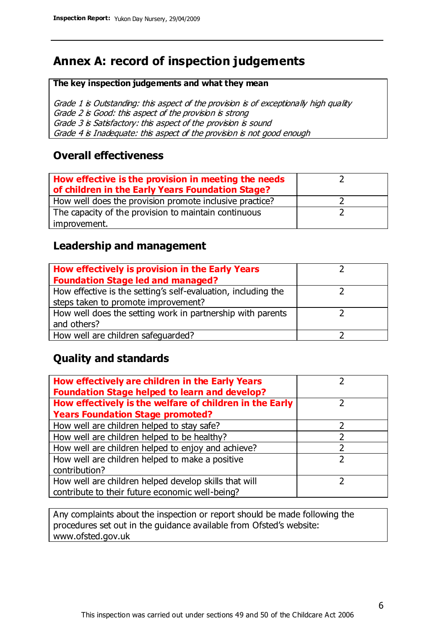# **Annex A: record of inspection judgements**

#### **The key inspection judgements and what they mean**

Grade 1 is Outstanding: this aspect of the provision is of exceptionally high quality Grade 2 is Good: this aspect of the provision is strong Grade 3 is Satisfactory: this aspect of the provision is sound Grade 4 is Inadequate: this aspect of the provision is not good enough

#### **Overall effectiveness**

| How effective is the provision in meeting the needs<br>of children in the Early Years Foundation Stage? |  |
|---------------------------------------------------------------------------------------------------------|--|
| How well does the provision promote inclusive practice?                                                 |  |
| The capacity of the provision to maintain continuous                                                    |  |
| improvement.                                                                                            |  |

### **Leadership and management**

| How effectively is provision in the Early Years               |  |
|---------------------------------------------------------------|--|
| <b>Foundation Stage led and managed?</b>                      |  |
| How effective is the setting's self-evaluation, including the |  |
| steps taken to promote improvement?                           |  |
| How well does the setting work in partnership with parents    |  |
| and others?                                                   |  |
| How well are children safequarded?                            |  |

## **Quality and standards**

| How effectively are children in the Early Years<br><b>Foundation Stage helped to learn and develop?</b> |   |
|---------------------------------------------------------------------------------------------------------|---|
| How effectively is the welfare of children in the Early                                                 | ר |
| <b>Years Foundation Stage promoted?</b>                                                                 |   |
| How well are children helped to stay safe?                                                              |   |
| How well are children helped to be healthy?                                                             |   |
| How well are children helped to enjoy and achieve?                                                      |   |
| How well are children helped to make a positive                                                         | フ |
| contribution?                                                                                           |   |
| How well are children helped develop skills that will                                                   |   |
| contribute to their future economic well-being?                                                         |   |

Any complaints about the inspection or report should be made following the procedures set out in the guidance available from Ofsted's website: www.ofsted.gov.uk